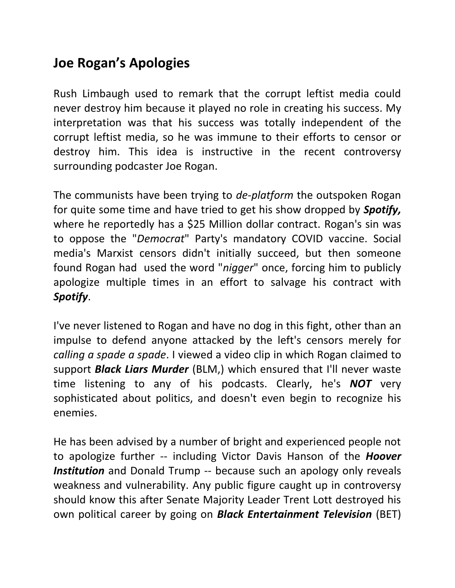## **Joe Rogan's Apologies**

Rush Limbaugh used to remark that the corrupt leftist media could never destroy him because it played no role in creating his success. My interpretation was that his success was totally independent of the corrupt leftist media, so he was immune to their efforts to censor or destroy him. This idea is instructive in the recent controversy surrounding podcaster Joe Rogan.

The communists have been trying to *de-platform* the outspoken Rogan for quite some time and have tried to get his show dropped by *Spotify,*  where he reportedly has a \$25 Million dollar contract. Rogan's sin was to oppose the "*Democrat*" Party's mandatory COVID vaccine. Social media's Marxist censors didn't initially succeed, but then someone found Rogan had used the word "*nigger*" once, forcing him to publicly apologize multiple times in an effort to salvage his contract with *Spotify*.

I've never listened to Rogan and have no dog in this fight, other than an impulse to defend anyone attacked by the left's censors merely for *calling a spade a spade*. I viewed a video clip in which Rogan claimed to support *Black Liars Murder* (BLM,) which ensured that I'll never waste time listening to any of his podcasts. Clearly, he's *NOT* very sophisticated about politics, and doesn't even begin to recognize his enemies.

He has been advised by a number of bright and experienced people not to apologize further -- including Victor Davis Hanson of the *Hoover*  **Institution** and Donald Trump -- because such an apology only reveals weakness and vulnerability. Any public figure caught up in controversy should know this after Senate Majority Leader Trent Lott destroyed his own political career by going on *Black Entertainment Television* (BET)